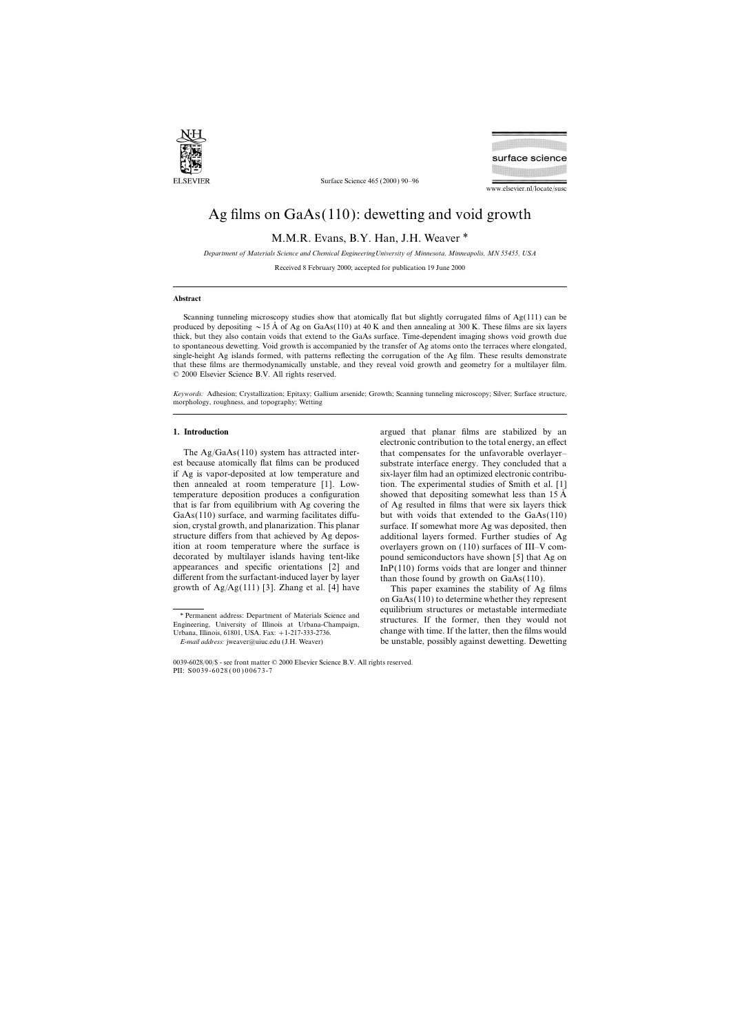

Surface Science 465 (2000) 90–96



www.elsevier.nl/locate/susc

# Ag films on GaAs(110): dewetting and void growth

M.M.R. Evans, B.Y. Han, J.H. Weaver \*

*Department of Materials Science and Chemical EngineeringUniversity of Minnesota, Minneapolis, MN 55455, USA*

Received 8 February 2000; accepted for publication 19 June 2000

## **Abstract**

Scanning tunneling microscopy studies show that atomically flat but slightly corrugated films of Ag(111) can be produced by depositing  $\sim$  15 Å of Ag on GaAs(110) at 40 K and then annealing at 300 K. These films are six layers thick, but they also contain voids that extend to the GaAs surface. Time-dependent imaging shows void growth due to spontaneous dewetting. Void growth is accompanied by the transfer of Ag atoms onto the terraces where elongated, single-height Ag islands formed, with patterns reflecting the corrugation of the Ag film. These results demonstrate that these films are thermodynamically unstable, and they reveal void growth and geometry for a multilayer film. © 2000 Elsevier Science B.V. All rights reserved.

*Keywords:* Adhesion; Crystallization; Epitaxy; Gallium arsenide; Growth; Scanning tunneling microscopy; Silver; Surface structure, morphology, roughness, and topography; Wetting

est because atomically flat films can be produced substrate interface energy. They concluded that a if Ag is vapor-deposited at low temperature and six-layer film had an optimized electronic contributhen annealed at room temperature [1]. Low- tion. The experimental studies of Smith et al. [1] temperature deposition produces a configuration showed that depositing somewhat less than 15 Å that is far from equilibrium with Ag covering the of Ag resulted in films that were six layers thick GaAs(110) surface, and warming facilitates diffu- but with voids that extended to the GaAs(110) sion, crystal growth, and planarization. This planar surface. If somewhat more Ag was deposited, then structure differs from that achieved by Ag depos- additional layers formed. Further studies of Ag ition at room temperature where the surface is overlayers grown on (110) surfaces of III–V comdecorated by multilayer islands having tent-like pound semiconductors have shown [5] that Ag on appearances and specific orientations [2] and InP(110) forms voids that are longer and thinner different from the surfactant-induced layer by layer than those found by growth on GaAs(110). growth of  $Ag/Ag(111)$  [3]. Zhang et al. [4] have This paper examines the stability of Ag films

on GaAs(110) to determine whether they represent equilibrium structures or metastable intermediate \* Permanent address: Department of Materials Science and structures. If the former, then they would not Engineering, University of Illinois at Urbana-Champaign, Urbana, Illinois, 61801, USA. Fax: +1-217-333-2736. change with time. If the latter, then the films would *E-mail address:* jweaver@uiuc.edu (J.H. Weaver) be unstable, possibly against dewetting. Dewetting

**<sup>1.</sup> Introduction 1. Introduction argued** that planar films are stabilized by an electronic contribution to the total energy, an effect The Ag/GaAs(110) system has attracted inter-<br>that compensates for the unfavorable overlayer–

<sup>0039-6028</sup>/00/\$ - see front matter © 2000 Elsevier Science B.V. All rights reserved. PII: S0039-6028 ( 00 ) 00673-7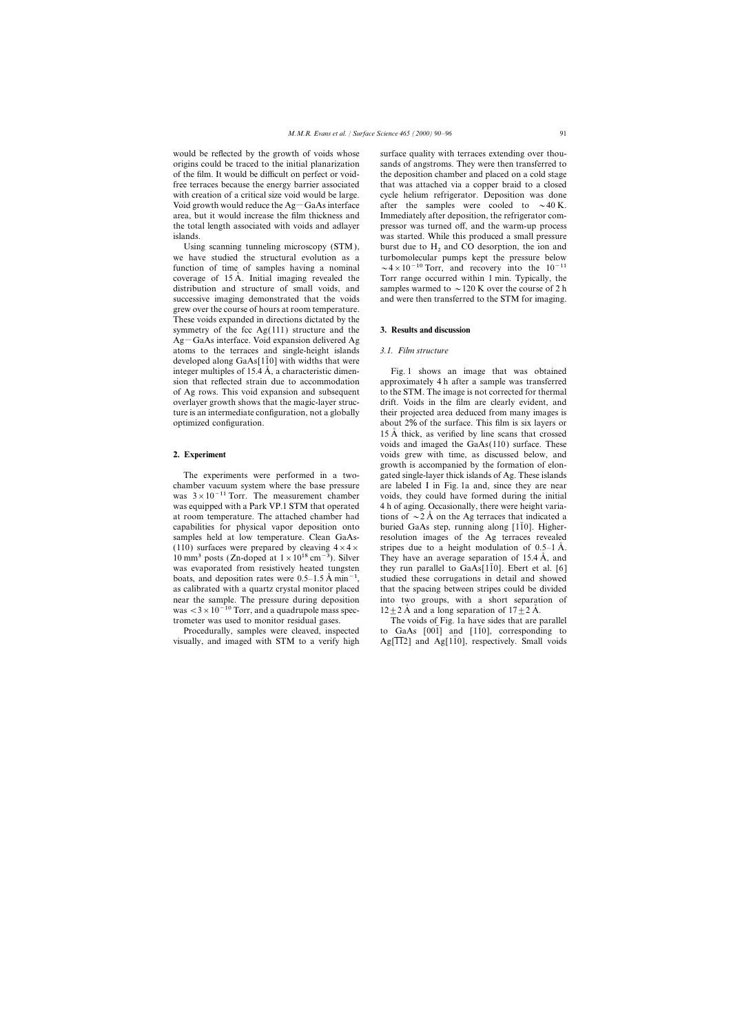would be reflected by the growth of voids whose surface quality with terraces extending over thou-

we have studied the structural evolution as a grew over the course of hours at room temperature. These voids expanded in directions dictated by the symmetry of the fcc Ag(111) structure and the **3. Results and discussion**  $Ag-GaAs$  interface. Void expansion delivered Ag atoms to the terraces and single-height islands *3.1. Film structure* developed along  $GaAs[110]$  with widths that were integer multiples of 15.4  $\AA$ , a characteristic dimen- Fig. 1 shows an image that was obtained

chamber vacuum system where the base pressure are labeled I in Fig. 1a and, since they are near was  $3 \times 10^{-11}$  Torr. The measurement chamber voids, they could have formed during the initial was equipped with a Park VP.1 STM that operated 4 h of aging. Occasionally, there were height variaat room temperature. The attached chamber had tions of  $\sim$  2 A on the Ag terraces that indicated a capabilities for physical vapor deposition onto buried GaAs step, running along [110]. Highersamples held at low temperature. Clean GaAs- resolution images of the Ag terraces revealed (110) surfaces were prepared by cleaving  $4 \times 4 \times$  stripes due to a height modulation of 0.5–1 Å. was evaporated from resistively heated tungsten they run parallel to  $GaAs[1\bar{1}0]$ . Ebert et al. [6] boats, and deposition rates were  $0.5-1.5 \text{ Å min}^{-1}$ , studied these corrugations in detail and showed as calibrated with a quartz crystal monitor placed that the spacing between stripes could be divided near the sample. The pressure during deposition into two groups, with a short separation of was  $<$ 3 × 10<sup>-10</sup> Torr, and a quadrupole mass spec- 12 ± 2 Å and a long separation of 17 ± 2 Å.

visually, and imaged with STM to a verify high  $Ag[112]$  and Ag[110], respectively. Small voids

origins could be traced to the initial planarization sands of angstroms. They were then transferred to of the film. It would be difficult on perfect or void- the deposition chamber and placed on a cold stage free terraces because the energy barrier associated that was attached via a copper braid to a closed with creation of a critical size void would be large. cycle helium refrigerator. Deposition was done Void growth would reduce the Ag-GaAs interface after the samples were cooled to  $\sim$ 40 K. area, but it would increase the film thickness and Immediately after deposition, the refrigerator comthe total length associated with voids and adlayer pressor was turned off, and the warm-up process islands. was started. While this produced a small pressure Using scanning tunneling microscopy  $(STM)$ , burst due to  $H_2$  and CO desorption, the ion and have studied the structural evolution as a turbomolecular pumps kept the pressure below function of time of samples having a nominal  $\sim 4 \times 10^{-10}$  Torr, and recovery into the  $10^{-11}$ coverage of 15  $\AA$ . Initial imaging revealed the Torr range occurred within 1 min. Typically, the distribution and structure of small voids, and samples warmed to  $\sim$  120 K over the course of 2 h successive imaging demonstrated that the voids and were then transferred to the STM for imaging.

sion that reflected strain due to accommodation approximately 4 h after a sample was transferred of Ag rows. This void expansion and subsequent to the STM. The image is not corrected for thermal overlayer growth shows that the magic-layer struc- drift. Voids in the film are clearly evident, and ture is an intermediate configuration, not a globally their projected area deduced from many images is optimized configuration. about 2% of the surface. This film is six layers or 15 A thick, as verified by line scans that crossed voids and imaged the GaAs(110) surface. These **2. Experiment** voids grew with time, as discussed below, and growth is accompanied by the formation of elon-The experiments were performed in a two- gated single-layer thick islands of Ag. These islands 10 mm<sup>3</sup> posts (Zn-doped at  $1 \times 10^{18}$  cm<sup>−3</sup>). Silver They have an average separation of 15.4 Å, and

trometer was used to monitor residual gases. The voids of Fig. 1a have sides that are parallel Procedurally, samples were cleaved, inspected to GaAs  $[001]$  and  $[1\overline{1}0]$ , corresponding to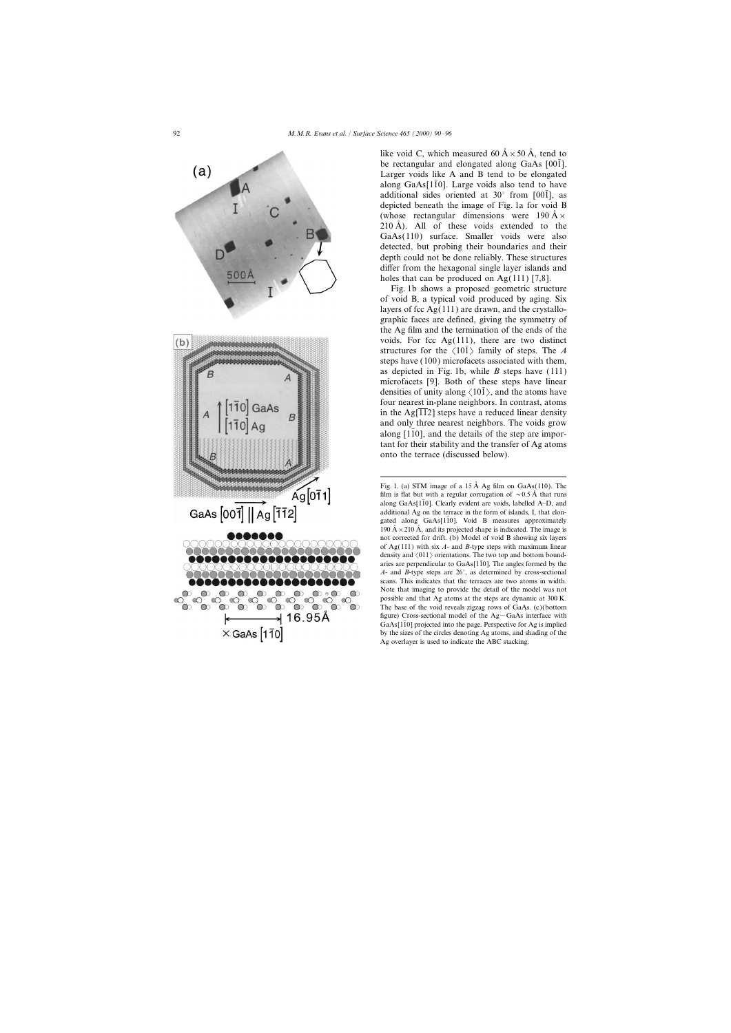

like void C, which measured 60  $A \times 50$  Å, tend to be rectangular and elongated along GaAs  $[00\bar{1}]$ . Larger voids like A and B tend to be elongated along GaAs[ $1\overline{1}0$ ]. Large voids also tend to have additional sides oriented at 30 $^{\circ}$  from [001], as depicted beneath the image of Fig. 1a for void B (whose rectangular dimensions were 190  $\AA \times$  $210 \text{ Å}$ ). All of these voids extended to the GaAs(110) surface. Smaller voids were also detected, but probing their boundaries and their depth could not be done reliably. These structures differ from the hexagonal single layer islands and holes that can be produced on  $Ag(111)$  [7,8].

Fig. 1b shows a proposed geometric structure of void B, a typical void produced by aging. Six layers of fcc  $Ag(111)$  are drawn, and the crystallographic faces are defined, giving the symmetry of the Ag film and the termination of the ends of the voids. For fcc  $Ag(111)$ , there are two distinct structures for the  $\langle 10\overline{1}\rangle$  family of steps. The *A* steps have (100) microfacets associated with them, as depicted in Fig. 1b, while *B* steps have (111) microfacets [9]. Both of these steps have linear densities of unity along  $\langle 101 \rangle$ , and the atoms have four nearest in-plane neighbors. In contrast, atoms in the Ag[ $\overline{112}$ ] steps have a reduced linear density and only three nearest neighbors. The voids grow along  $[110]$ , and the details of the step are important for their stability and the transfer of Ag atoms onto the terrace (discussed below).

Fig. 1. (a) STM image of a  $15 \text{ Å}$  Ag film on GaAs(110). The film is flat but with a regular corrugation of  $\sim 0.5 \text{ Å}$  that runs along GaAs[ $1\bar{1}0$ ]. Clearly evident are voids, labelled A–D, and additional Ag on the terrace in the form of islands, I, that elongated along  $GaAs[1\bar{1}0]$ . Void B measures approximately 190  $\AA \times 210 \AA$ , and its projected shape is indicated. The image is not corrected for drift. (b) Model of void B showing six layers of Ag(111) with six *A*- and *B*-type steps with maximum linear density and  $\langle 011 \rangle$  orientations. The two top and bottom boundaries are perpendicular to GaAs[ $1\overline{1}0$ ]. The angles formed by the *A*- and *B*-type steps are 26°, as determined by cross-sectional scans. This indicates that the terraces are two atoms in width. Note that imaging to provide the detail of the model was not possible and that Ag atoms at the steps are dynamic at 300 K. The base of the void reveals zigzag rows of GaAs. (c)(bottom figure) Cross-sectional model of the  $Ag-GaAs$  interface with  $GaAs[1\bar{1}0]$  projected into the page. Perspective for Ag is implied by the sizes of the circles denoting Ag atoms, and shading of the Ag overlayer is used to indicate the ABC stacking.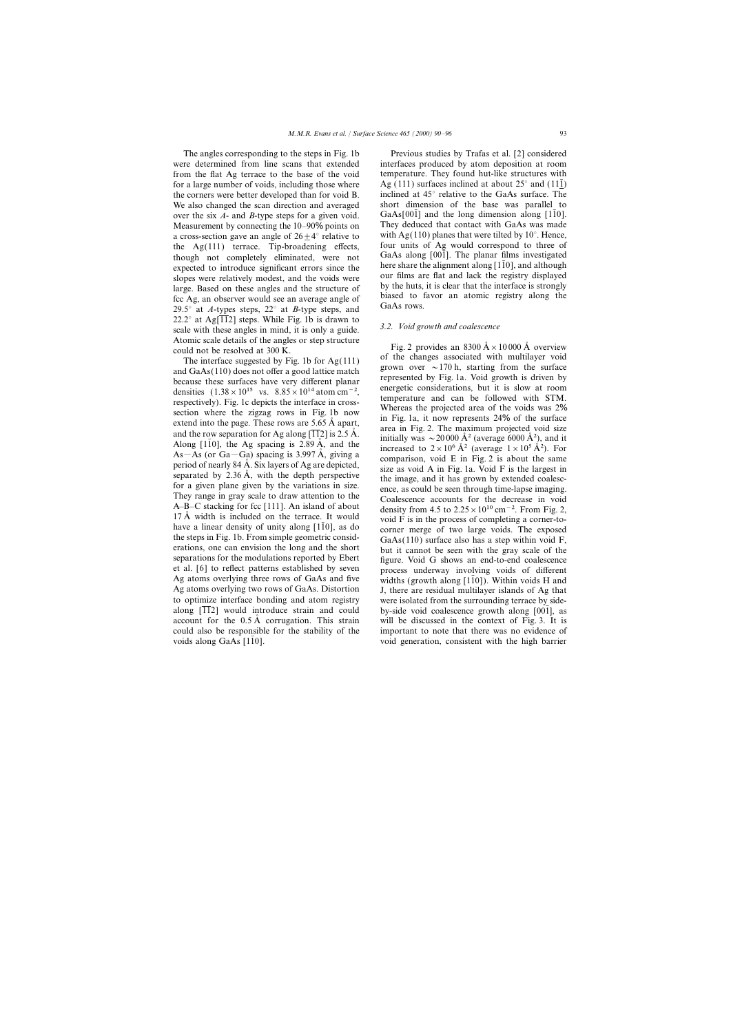were determined from line scans that extended interfaces produced by atom deposition at room from the flat Ag terrace to the base of the void temperature. They found hut-like structures with for a large number of voids, including those where Ag (111) surfaces inclined at about  $25^{\circ}$  and (111) the corners were better developed than for void B. inclined at  $45^{\circ}$  relative to the GaAs surface. The We also changed the scan direction and averaged short dimension of the base was parallel to We also changed the scan direction and averaged short dimension of the base was parallel to over the six  $A$ - and  $B$ -type steps for a given void GaAs[001] and the long dimension along [110]. over the six *A*- and *B*-type steps for a given void. GaAs[001] and the long dimension along [110].<br>Measurement by connecting the 10–90% points on They deduced that contact with GaAs was made Measurement by connecting the 10–90% points on They deduced that contact with GaAs was made<br>a cross-section gave an angle of  $26+4^{\circ}$  relative to with Ag(110) planes that were tilted by 10°. Hence, a cross-section gave an angle of  $26\pm4^{\circ}$  relative to with Ag(110) planes that were tilted by 10°. Hence, the Ag(111) terrace Tin-broadening effects four units of Ag would correspond to three of the  $Ag(111)$  terrace. Tip-broadening effects, four units of Ag would correspond to three of though not completely eliminated were not GaAs along [001]. The planar films investigated though not completely eliminated, were not GaAs along [001]. The planar films investigated<br>expected to introduce significant errors since the here share the alignment along [1 $\overline{1}0$ ], and although expected to introduce significant errors since the<br>slopes were relatively modest, and the voids were<br>large. Based on these angles and the structure of<br>fcc Ag, an observer would see an average angle of<br> $29.5^{\circ}$  at A-types 22.2° at Ag[ $\overline{112}$ ] steps. While Fig. 1b is drawn to scale with these angles in mind, it is only a guide.  $\overline{3.2}$ . *Void growth and coalescence* Atomic scale details of the angles or step structure Fig. 2 provides an 8300  $\AA \times 10000 \,\text{\AA}$  overview Could not be resolved at 300 K.

et al. [6] to reflect patterns established by seven process underway involving voids of different Ag atoms overlying three rows of GaAs and five widths (growth along [1][0]). Within voids H and Ag atoms overlying three rows of GaAs and five widths (growth along [110]). Within voids H and Ag atoms overlying two rows of GaAs. Distortion J, there are residual multilaver islands of Ag that Ag atoms overlying two rows of GaAs. Distortion J, there are residual multilayer islands of Ag that to optimize interface bonding and atom registry were isolated from the surrounding terrace by sideto optimize interface bonding and atom registry were isolated from the surrounding terrace by side-<br>along  $\overline{112}$  would introduce strain and could by-side void coalescence growth along  $\overline{1001}$ , as account for the  $0.5 \text{ Å}$  corrugation. This strain will be discussed in the context of Fig. 3. It is could also be responsible for the stability of the important to note that there was no evidence of voids along GaAs [110]. void generation, consistent with the high barrier

The angles corresponding to the steps in Fig. 1b Previous studies by Trafas et al. [2] considered

and interface suggested by Fig. 1b for Ag(111) of the changes associated with multilayer void<br>The interface suggested by Fig. 1b for Ag(111) of the changes associated with multilayer void<br>grown over ~170 h, starting from and GaAs(110) does not offer a good lattice match<br>because these surfaces have very different planar<br>because these surfaces have very different planar<br>densities (1.38 × 10<sup>15</sup> vs. 8.85 × 10<sup>14</sup> atom cm<sup>-2</sup>,<br>respectively). A-B-C stacking for fcc [111]. An island of about<br>
17 Å width is included on the terrace. It would<br>
have a linear density of unity along [110], as do<br>
the steps in Fig. 1b. From simple geometric consid-<br>
erations, one can by-side void coalescence growth along [001], as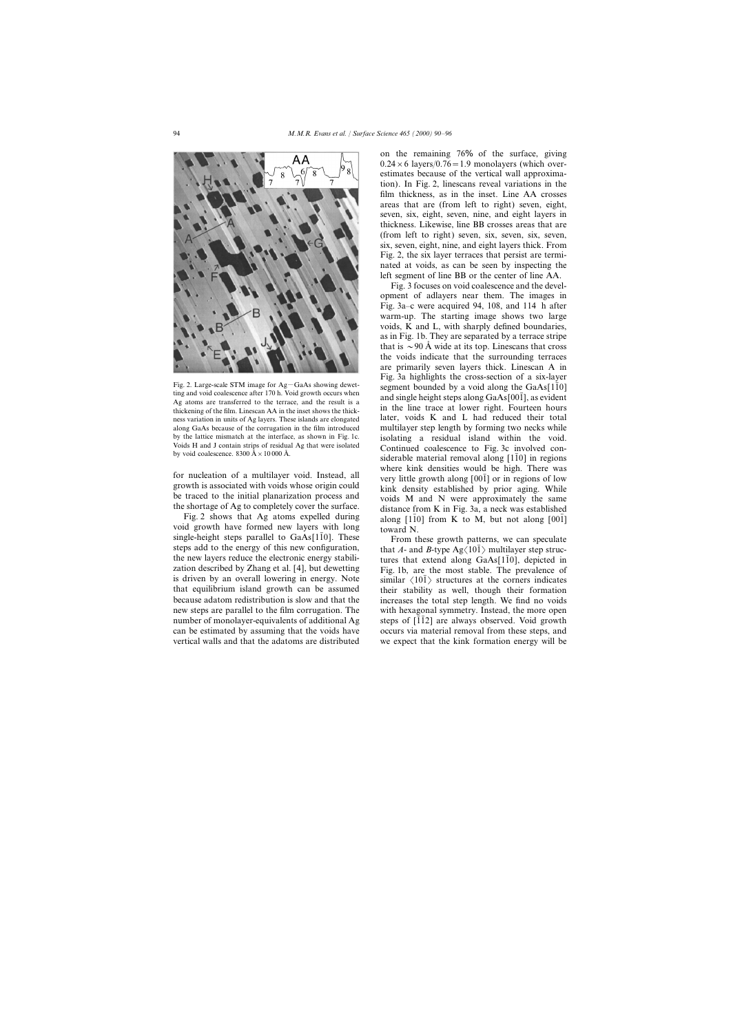

void growth have formed new layers with long<br>single-height steps parallel to  $GaAs[1\bar{1}0]$ . These From these growth patterns, we can speculate steps add to the energy of this new configuration, that *A*- and *B*-type  $Ag(10\bar{1})$  multilayer step struc-<br>the new layers reduce the electronic energy stabili-<br>tures that extend along GaAs[110] denicted in the new layers reduce the electronic energy stabili-<br>  $\frac{1}{2}$  tures that extend along GaAs[110], depicted in<br>
zation described by Zhang et al. [4], but dewetting<br>
Fig. 1b. are the most stable. The prevalence of zation described by Zhang et al. [4], but dewetting Fig. 1b, are the most stable. The prevalence of is driven by an overall lowering in energy. Note  $\frac{1}{2}$  structures at the corners indicates is driven by an overall lowering in energy. Note similar  $\langle 101 \rangle$  structures at the corners indicates that equilibrium island growth can be assumed their stability as well, though their formation that equilibrium island growth can be assumed<br>because adatom redistribution is slow and that the increases the total step length. We find no voids because adatom redistribution is slow and that the increases the total step length. We find no voids new steps are parallel to the film corrugation. The with hexagonal symmetry. Instead, the more open number of monolayer-equivalents of additional Ag steps of  $\overline{112}$  are always observed. Void growth can be estimated by assuming that the voids have occurs via material removal from these steps, and

on the remaining 76% of the surface, giving  $0.24 \times 6$  layers/ $0.76 = 1.9$  monolayers (which overestimates because of the vertical wall approximation). In Fig. 2, linescans reveal variations in the film thickness, as in the inset. Line AA crosses areas that are (from left to right) seven, eight, seven, six, eight, seven, nine, and eight layers in thickness. Likewise, line BB crosses areas that are (from left to right) seven, six, seven, six, seven, six, seven, eight, nine, and eight layers thick. From Fig. 2, the six layer terraces that persist are terminated at voids, as can be seen by inspecting the left segment of line BB or the center of line AA.

Fig. 3 focuses on void coalescence and the development of adlayers near them. The images in Fig. 3a–c were acquired 94, 108, and 114 h after warm-up. The starting image shows two large voids, K and L, with sharply defined boundaries, as in Fig. 1b. They are separated by a terrace stripe that is  $\sim$ 90 A wide at its top. Linescans that cross the voids indicate that the surrounding terraces are primarily seven layers thick. Linescan A in Fig. 3a highlights the cross-section of a six-layer Fig. 2. Large-scale STM image for Ag-GaAs showing devet-<br>ting and void coalescence after 170 h. Void growth occurs when<br>Ag atoms are transferred to the terrace, and the result is a<br>thickening of the film. Linescan AA in t ness variation in units of Ag layers. These islands are elongated later, voids K and L had reduced their total along GaAs because of the corrugation in the film introduced multilayer step length by forming two necks while by the lattice mismatch at the interface, as shown in Fig. 1c. isolating a residual island within the void.<br>Voids H and J contain strips of residual Ag that were isolated continued coalescence to Fig. 3c involved con-Voids H and J contain strips of residual Ag that were isolated<br>by void coalescence to Fig. 3c involved con-<br>siderable material removal along [110] in regions For nucleation of a multilayer void. Instead, all<br>growth is associated with voids whose origin could<br>be traced to the initial planarization process and<br>the shortage of Ag to completely cover the surface.<br>Fig. 2 shows that

with hexagonal symmetry. Instead, the more open vertical walls and that the adatoms are distributed we expect that the kink formation energy will be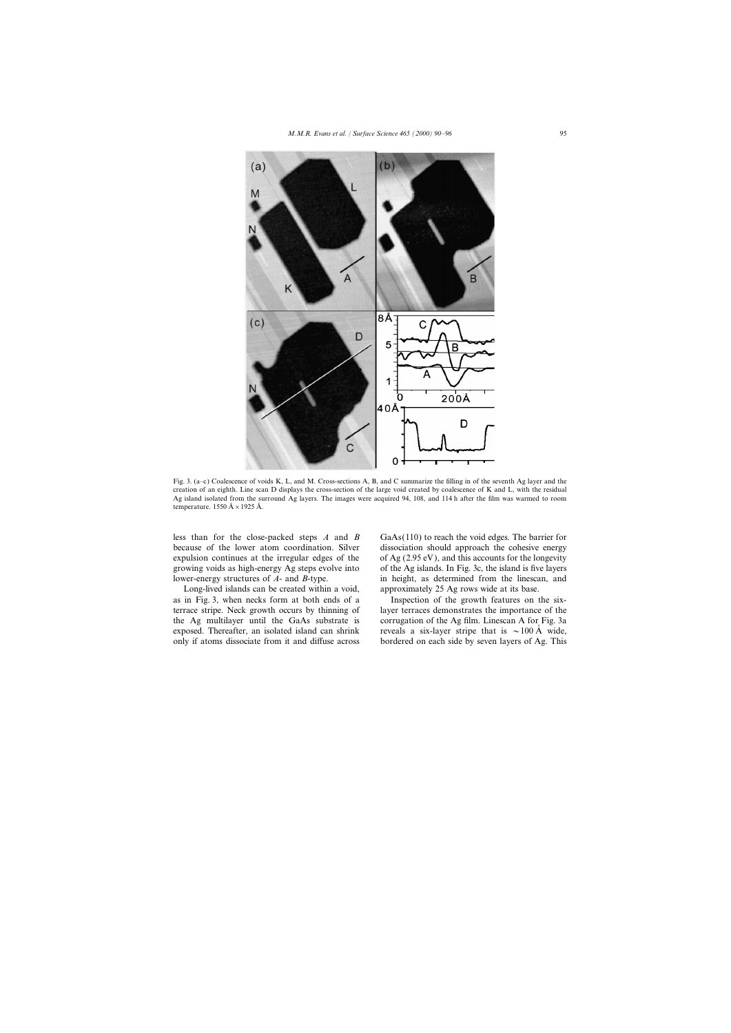

Fig. 3. (a–c) Coalescence of voids K, L, and M. Cross-sections A, B, and C summarize the filling in of the seventh Ag layer and the creation of an eighth. Line scan D displays the cross-section of the large void created by coalescence of K and L, with the residual Ag island isolated from the surround Ag layers. The images were acquired 94, 108, and 114 h after the film was warmed to room temperature. 1550  $\AA \times 1925 \AA$ .

less than for the close-packed steps *A* and *B* GaAs(110) to reach the void edges. The barrier for because of the lower atom coordination. Silver dissociation should approach the cohesive energy expulsion continues at the irregular edges of the of Ag  $(2.95 \text{ eV})$ , and this accounts for the longevity growing voids as high-energy Ag steps evolve into of the Ag islands. In Fig. 3c, the island is five layers lower-energy structures of *A*- and *B*-type. in height, as determined from the linescan, and

Long-lived islands can be created within a void, approximately 25 Ag rows wide at its base. as in Fig. 3, when necks form at both ends of a Inspection of the growth features on the six-

terrace stripe. Neck growth occurs by thinning of layer terraces demonstrates the importance of the the Ag multilayer until the GaAs substrate is corrugation of the Ag film. Linescan A for Fig. 3a exposed. Thereafter, an isolated island can shrink reveals a six-layer stripe that is  $\sim 100 \text{ Å}$  wide, only if atoms dissociate from it and diffuse across bordered on each side by seven layers of Ag. This